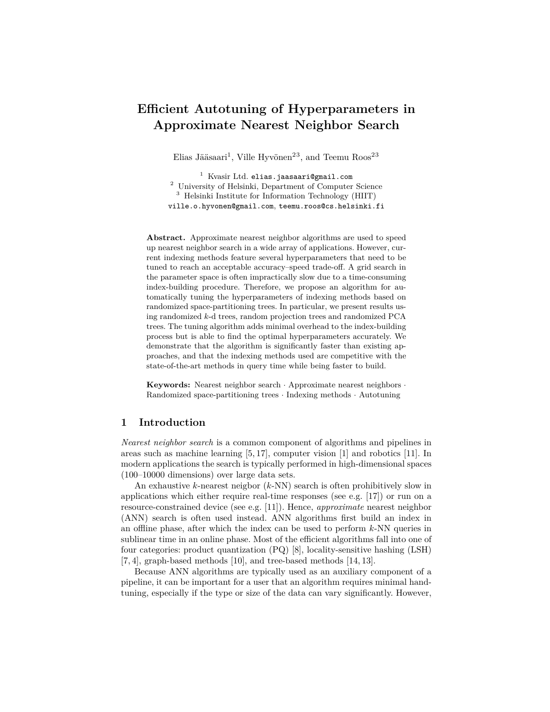# **Efficient Autotuning of Hyperparameters in Approximate Nearest Neighbor Search**

Elias Jääsaari<sup>1</sup>, Ville Hyvönen<sup>23</sup>, and Teemu Roos<sup>23</sup>

 Kvasir Ltd. elias.jaasaari@gmail.com University of Helsinki, Department of Computer Science Helsinki Institute for Information Technology (HIIT) ville.o.hyvonen@gmail.com, teemu.roos@cs.helsinki.fi

**Abstract.** Approximate nearest neighbor algorithms are used to speed up nearest neighbor search in a wide array of applications. However, current indexing methods feature several hyperparameters that need to be tuned to reach an acceptable accuracy–speed trade-off. A grid search in the parameter space is often impractically slow due to a time-consuming index-building procedure. Therefore, we propose an algorithm for automatically tuning the hyperparameters of indexing methods based on randomized space-partitioning trees. In particular, we present results using randomized *k*-d trees, random projection trees and randomized PCA trees. The tuning algorithm adds minimal overhead to the index-building process but is able to find the optimal hyperparameters accurately. We demonstrate that the algorithm is significantly faster than existing approaches, and that the indexing methods used are competitive with the state-of-the-art methods in query time while being faster to build.

**Keywords:** Nearest neighbor search · Approximate nearest neighbors · Randomized space-partitioning trees · Indexing methods · Autotuning

## **1 Introduction**

*Nearest neighbor search* is a common component of algorithms and pipelines in areas such as machine learning [5, 17], computer vision [1] and robotics [11]. In modern applications the search is typically performed in high-dimensional spaces (100–10000 dimensions) over large data sets.

An exhaustive *k*-nearest neigbor (*k*-NN) search is often prohibitively slow in applications which either require real-time responses (see e.g.  $[17]$ ) or run on a resource-constrained device (see e.g. [11]). Hence, *approximate* nearest neighbor (ANN) search is often used instead. ANN algorithms first build an index in an offline phase, after which the index can be used to perform *k*-NN queries in sublinear time in an online phase. Most of the efficient algorithms fall into one of four categories: product quantization (PQ) [8], locality-sensitive hashing (LSH) [7, 4], graph-based methods [10], and tree-based methods [14, 13].

Because ANN algorithms are typically used as an auxiliary component of a pipeline, it can be important for a user that an algorithm requires minimal handtuning, especially if the type or size of the data can vary significantly. However,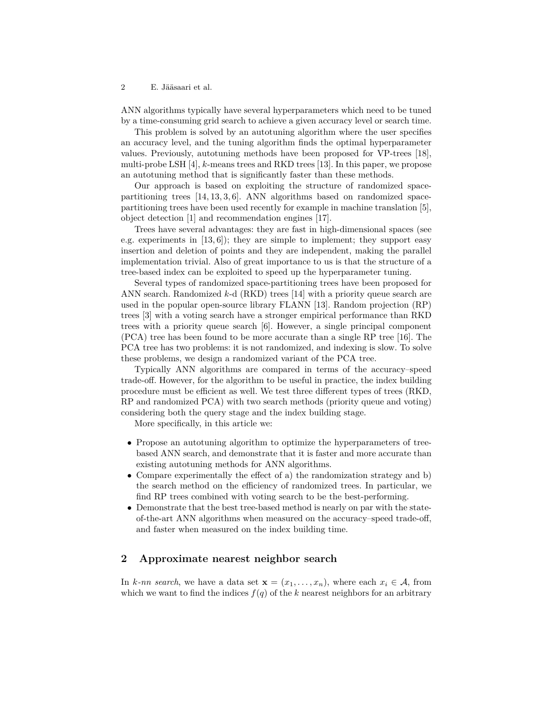ANN algorithms typically have several hyperparameters which need to be tuned by a time-consuming grid search to achieve a given accuracy level or search time.

This problem is solved by an autotuning algorithm where the user specifies an accuracy level, and the tuning algorithm finds the optimal hyperparameter values. Previously, autotuning methods have been proposed for VP-trees [18], multi-probe LSH [4], *k*-means trees and RKD trees [13]. In this paper, we propose an autotuning method that is significantly faster than these methods.

Our approach is based on exploiting the structure of randomized spacepartitioning trees  $[14, 13, 3, 6]$ . ANN algorithms based on randomized spacepartitioning trees have been used recently for example in machine translation [5], object detection [1] and recommendation engines [17].

Trees have several advantages: they are fast in high-dimensional spaces (see e.g. experiments in [13, 6]); they are simple to implement; they support easy insertion and deletion of points and they are independent, making the parallel implementation trivial. Also of great importance to us is that the structure of a tree-based index can be exploited to speed up the hyperparameter tuning.

Several types of randomized space-partitioning trees have been proposed for ANN search. Randomized *k*-d (RKD) trees [14] with a priority queue search are used in the popular open-source library FLANN [13]. Random projection (RP) trees [3] with a voting search have a stronger empirical performance than RKD trees with a priority queue search [6]. However, a single principal component (PCA) tree has been found to be more accurate than a single RP tree [16]. The PCA tree has two problems: it is not randomized, and indexing is slow. To solve these problems, we design a randomized variant of the PCA tree.

Typically ANN algorithms are compared in terms of the accuracy–speed trade-off. However, for the algorithm to be useful in practice, the index building procedure must be efficient as well. We test three different types of trees (RKD, RP and randomized PCA) with two search methods (priority queue and voting) considering both the query stage and the index building stage.

More specifically, in this article we:

- Propose an autotuning algorithm to optimize the hyperparameters of treebased ANN search, and demonstrate that it is faster and more accurate than existing autotuning methods for ANN algorithms.
- Compare experimentally the effect of a) the randomization strategy and b) the search method on the efficiency of randomized trees. In particular, we find RP trees combined with voting search to be the best-performing.
- Demonstrate that the best tree-based method is nearly on par with the stateof-the-art ANN algorithms when measured on the accuracy–speed trade-off, and faster when measured on the index building time.

# **2 Approximate nearest neighbor search**

In *k*-nn search, we have a data set  $\mathbf{x} = (x_1, \ldots, x_n)$ , where each  $x_i \in \mathcal{A}$ , from which we want to find the indices  $f(q)$  of the *k* nearest neighbors for an arbitrary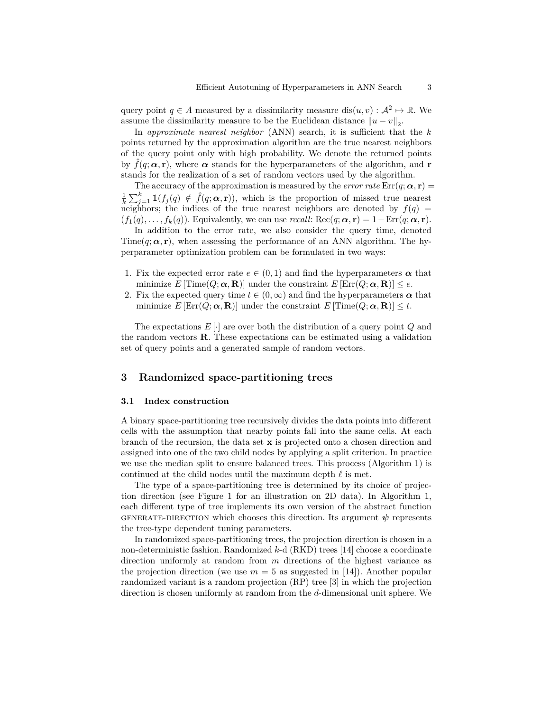query point  $q \in A$  measured by a dissimilarity measure dis $(u, v) : A^2 \mapsto \mathbb{R}$ . We assume the dissimilarity measure to be the Euclidean distance  $||u - v||_2$ .

In *approximate nearest neighbor* (ANN) search, it is sufficient that the *k* points returned by the approximation algorithm are the true nearest neighbors of the query point only with high probability. We denote the returned points by  $\hat{f}(q; \alpha, r)$ , where  $\alpha$  stands for the hyperparameters of the algorithm, and **r** stands for the realization of a set of random vectors used by the algorithm.

The accuracy of the approximation is measured by the *error rate*  $\text{Err}(q; \alpha, r) =$  $\frac{1}{k}\sum_{j=1}^{k} \mathbb{1}(f_j(q) \notin \hat{f}(q;\boldsymbol{\alpha},\mathbf{r}))$ , which is the proportion of missed true nearest neighbors; the indices of the true nearest neighbors are denoted by  $f(q)$  =  $(f_1(q), \ldots, f_k(q))$ . Equivalently, we can use *recall*:  $\text{Rec}(q; \alpha, \mathbf{r}) = 1 - \text{Err}(q; \alpha, \mathbf{r})$ .

In addition to the error rate, we also consider the query time, denoted  $Time(q; \alpha, r)$ , when assessing the performance of an ANN algorithm. The hyperparameter optimization problem can be formulated in two ways:

- 1. Fix the expected error rate  $e \in (0,1)$  and find the hyperparameters  $\alpha$  that minimize  $E[\text{Time}(Q; \alpha, \mathbf{R})]$  under the constraint  $E[\text{Err}(Q; \alpha, \mathbf{R})] \leq e$ .
- 2. Fix the expected query time  $t \in (0, \infty)$  and find the hyperparameters  $\alpha$  that minimize  $E\left[\text{Err}(Q; \boldsymbol{\alpha}, \mathbf{R})\right]$  under the constraint  $E\left[\text{Time}(Q; \boldsymbol{\alpha}, \mathbf{R})\right] \leq t$ .

The expectations *E* [·] are over both the distribution of a query point *Q* and the random vectors **R**. These expectations can be estimated using a validation set of query points and a generated sample of random vectors.

### **3 Randomized space-partitioning trees**

#### **3.1 Index construction**

A binary space-partitioning tree recursively divides the data points into different cells with the assumption that nearby points fall into the same cells. At each branch of the recursion, the data set **x** is projected onto a chosen direction and assigned into one of the two child nodes by applying a split criterion. In practice we use the median split to ensure balanced trees. This process (Algorithm 1) is continued at the child nodes until the maximum depth  $\ell$  is met.

The type of a space-partitioning tree is determined by its choice of projection direction (see Figure 1 for an illustration on 2D data). In Algorithm 1, each different type of tree implements its own version of the abstract function GENERATE-DIRECTION which chooses this direction. Its argument  $\psi$  represents the tree-type dependent tuning parameters.

In randomized space-partitioning trees, the projection direction is chosen in a non-deterministic fashion. Randomized *k*-d (RKD) trees [14] choose a coordinate direction uniformly at random from *m* directions of the highest variance as the projection direction (we use  $m = 5$  as suggested in [14]). Another popular randomized variant is a random projection (RP) tree [3] in which the projection direction is chosen uniformly at random from the *d*-dimensional unit sphere. We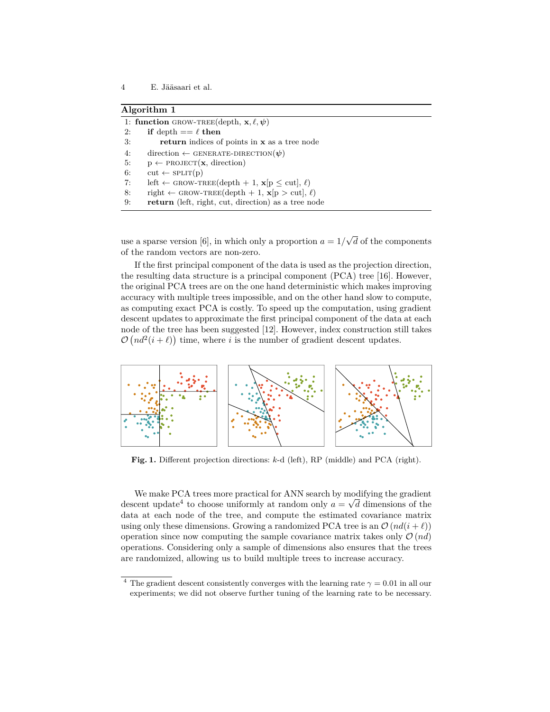**Algorithm 1**

1: **function** GROW-TREE(depth,  $\mathbf{x}, \ell, \psi$ ) 2: **if** depth  $== \ell$  **then** 3: **return** indices of points in **x** as a tree node 4: direction  $\leftarrow$  GENERATE-DIRECTION( $\psi$ ) 5:  $p \leftarrow \text{PROJECT}(\mathbf{x}, \text{direction})$ 6: cut  $\leftarrow$   $\text{SPLIT(p)}$ 7: left  $\leftarrow$  GROW-TREE(depth + 1,  $\mathbf{x}$ [ $\mathbf{p} \leq \text{cut}$ ],  $\ell$ ) 8: right  $\leftarrow$  GROW-TREE(depth + 1,  $\mathbf{x}$ [p > cut],  $\ell$ ] 9: **return** (left, right, cut, direction) as a tree node

use a sparse version [6], in which only a proportion  $a = 1/$ √ *d* of the components of the random vectors are non-zero.

If the first principal component of the data is used as the projection direction, the resulting data structure is a principal component (PCA) tree [16]. However, the original PCA trees are on the one hand deterministic which makes improving accuracy with multiple trees impossible, and on the other hand slow to compute, as computing exact PCA is costly. To speed up the computation, using gradient descent updates to approximate the first principal component of the data at each node of the tree has been suggested [12]. However, index construction still takes  $\mathcal{O}(nd^2(i+\ell))$  time, where *i* is the number of gradient descent updates.



**Fig. 1.** Different projection directions: *k*-d (left), RP (middle) and PCA (right).

We make PCA trees more practical for ANN search by modifying the gradient descent update<sup>4</sup> to choose uniformly at random only  $a = \sqrt{d}$  dimensions of the data at each node of the tree, and compute the estimated covariance matrix using only these dimensions. Growing a randomized PCA tree is an  $\mathcal{O}(nd(i + \ell))$ operation since now computing the sample covariance matrix takes only  $\mathcal{O}(nd)$ operations. Considering only a sample of dimensions also ensures that the trees are randomized, allowing us to build multiple trees to increase accuracy.

<sup>&</sup>lt;sup>4</sup> The gradient descent consistently converges with the learning rate  $\gamma = 0.01$  in all our experiments; we did not observe further tuning of the learning rate to be necessary.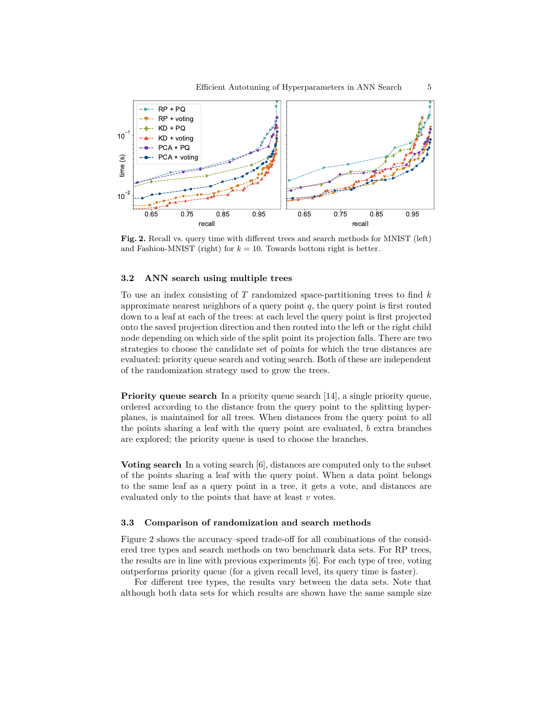

**Fig. 2.** Recall vs. query time with different trees and search methods for MNIST (left) and Fashion-MNIST (right) for  $k = 10$ . Towards bottom right is better.

#### **3.2 ANN search using multiple trees**

To use an index consisting of *T* randomized space-partitioning trees to find *k* approximate nearest neighbors of a query point  $q$ , the query point is first routed down to a leaf at each of the trees: at each level the query point is first projected onto the saved projection direction and then routed into the left or the right child node depending on which side of the split point its projection falls. There are two strategies to choose the candidate set of points for which the true distances are evaluated: priority queue search and voting search. Both of these are independent of the randomization strategy used to grow the trees.

**Priority queue search** In a priority queue search [14], a single priority queue, ordered according to the distance from the query point to the splitting hyperplanes, is maintained for all trees. When distances from the query point to all the points sharing a leaf with the query point are evaluated, *b* extra branches are explored; the priority queue is used to choose the branches.

**Voting search** In a voting search [6], distances are computed only to the subset of the points sharing a leaf with the query point. When a data point belongs to the same leaf as a query point in a tree, it gets a vote, and distances are evaluated only to the points that have at least *v* votes.

#### **3.3 Comparison of randomization and search methods**

Figure 2 shows the accuracy–speed trade-off for all combinations of the considered tree types and search methods on two benchmark data sets. For RP trees, the results are in line with previous experiments [6]. For each type of tree, voting outperforms priority queue (for a given recall level, its query time is faster).

For different tree types, the results vary between the data sets. Note that although both data sets for which results are shown have the same sample size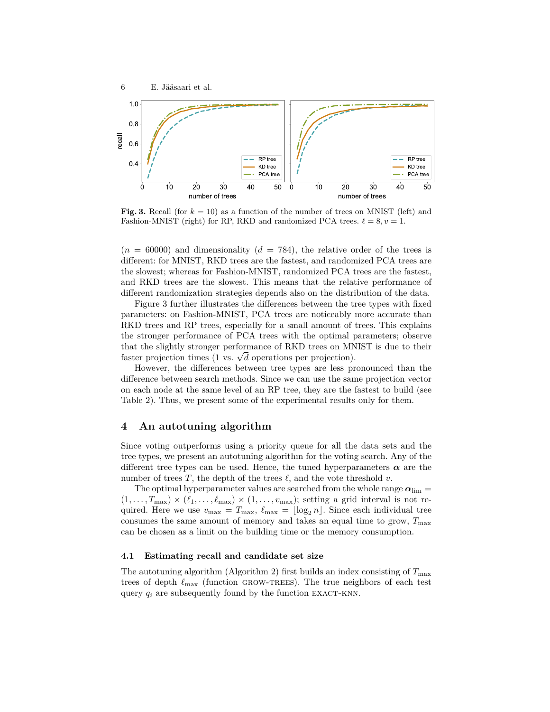

**Fig. 3.** Recall (for  $k = 10$ ) as a function of the number of trees on MNIST (left) and Fashion-MNIST (right) for RP, RKD and randomized PCA trees.  $\ell = 8, v = 1$ .

 $(n = 60000)$  and dimensionality  $(d = 784)$ , the relative order of the trees is different: for MNIST, RKD trees are the fastest, and randomized PCA trees are the slowest; whereas for Fashion-MNIST, randomized PCA trees are the fastest, and RKD trees are the slowest. This means that the relative performance of different randomization strategies depends also on the distribution of the data.

Figure 3 further illustrates the differences between the tree types with fixed parameters: on Fashion-MNIST, PCA trees are noticeably more accurate than RKD trees and RP trees, especially for a small amount of trees. This explains the stronger performance of PCA trees with the optimal parameters; observe that the slightly stronger performance of RKD trees on MNIST is due to their that the slightly stronger performance of KKD trees on MN<br>faster projection times (1 vs.  $\sqrt{d}$  operations per projection).

However, the differences between tree types are less pronounced than the difference between search methods. Since we can use the same projection vector on each node at the same level of an RP tree, they are the fastest to build (see Table 2). Thus, we present some of the experimental results only for them.

## **4 An autotuning algorithm**

Since voting outperforms using a priority queue for all the data sets and the tree types, we present an autotuning algorithm for the voting search. Any of the different tree types can be used. Hence, the tuned hyperparameters  $\alpha$  are the number of trees *T*, the depth of the trees  $\ell$ , and the vote threshold *v*.

The optimal hyperparameter values are searched from the whole range  $\alpha_{\rm lim} =$  $(1, \ldots, T_{\text{max}}) \times (\ell_1, \ldots, \ell_{\text{max}}) \times (1, \ldots, v_{\text{max}})$ ; setting a grid interval is not required. Here we use  $v_{\text{max}} = T_{\text{max}}$ ,  $\ell_{\text{max}} = \lfloor \log_2 n \rfloor$ . Since each individual tree consumes the same amount of memory and takes an equal time to grow,  $T_{\text{max}}$ can be chosen as a limit on the building time or the memory consumption.

#### **4.1 Estimating recall and candidate set size**

The autotuning algorithm (Algorithm 2) first builds an index consisting of  $T_{\text{max}}$ trees of depth  $\ell_{\text{max}}$  (function GROW-TREES). The true neighbors of each test query  $q_i$  are subsequently found by the function EXACT-KNN.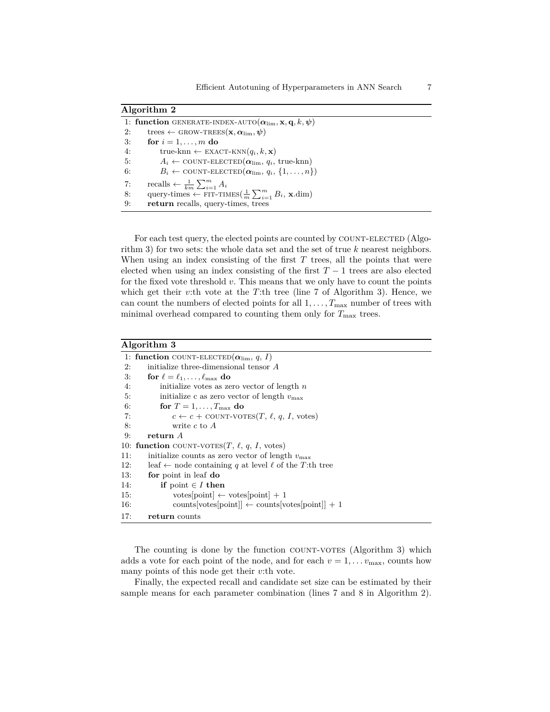#### **Algorithm 2**

|    | 1: function GENERATE-INDEX-AUTO $(\alpha_{\lim}, \mathbf{x}, \mathbf{q}, k, \psi)$             |
|----|------------------------------------------------------------------------------------------------|
| 2: | trees $\leftarrow$ GROW-TREES $(\mathbf{x}, \alpha_{\text{lim}}, \psi)$                        |
| 3: | for $i = 1, \ldots, m$ do                                                                      |
| 4: | true-knn $\leftarrow$ EXACT-KNN $(q_i, k, \mathbf{x})$                                         |
| 5: | $A_i \leftarrow \text{COUNT-EXECTED}(\boldsymbol{\alpha}_{\text{lim}}, q_i, \text{true-knn})$  |
| 6: | $B_i \leftarrow \text{COUNT-ELECTED}(\boldsymbol{\alpha}_{\text{lim}}, q_i, \{1, \ldots, n\})$ |
| 7: | recalls $\leftarrow \frac{1}{km} \sum_{i=1}^{m} A_i$                                           |
| 8: | query-times $\leftarrow$ FIT-TIMES $(\frac{1}{m}\sum_{i=1}^{m}B_i, \mathbf{x}.dim)$            |
| 9: | return recalls, query-times, trees                                                             |
|    |                                                                                                |

For each test query, the elected points are counted by COUNT-ELECTED (Algorithm 3) for two sets: the whole data set and the set of true *k* nearest neighbors. When using an index consisting of the first *T* trees, all the points that were elected when using an index consisting of the first  $T-1$  trees are also elected for the fixed vote threshold *v*. This means that we only have to count the points which get their *v*:th vote at the *T*:th tree (line 7 of Algorithm 3). Hence, we can count the numbers of elected points for all  $1, \ldots, T_{\text{max}}$  number of trees with minimal overhead compared to counting them only for  $T_{\text{max}}$  trees.

| Algorithm 3 |                                                                                                      |  |  |  |  |  |  |
|-------------|------------------------------------------------------------------------------------------------------|--|--|--|--|--|--|
|             | 1: function COUNT-ELECTED( $\alpha_{\text{lim}}, q, I$ )                                             |  |  |  |  |  |  |
| 2:          | initialize three-dimensional tensor $A$                                                              |  |  |  |  |  |  |
| 3:          | for $\ell = \ell_1, \ldots, \ell_{\text{max}}$ do                                                    |  |  |  |  |  |  |
| 4:          | initialize votes as zero vector of length $n$                                                        |  |  |  |  |  |  |
| 5:          | initialize c as zero vector of length $v_{\text{max}}$                                               |  |  |  |  |  |  |
| 6:          | for $T = 1, \ldots, T_{\text{max}}$ do                                                               |  |  |  |  |  |  |
| 7:          | $c \leftarrow c + \text{COUNT-VOTES}(T, \ell, q, I, \text{ votes})$                                  |  |  |  |  |  |  |
| 8:          | write $c$ to $A$                                                                                     |  |  |  |  |  |  |
| 9:          | return A                                                                                             |  |  |  |  |  |  |
|             | 10: function COUNT-VOTES $(T, \ell, q, I, \text{ votes})$                                            |  |  |  |  |  |  |
| 11:         | initialize counts as zero vector of length $v_{\text{max}}$                                          |  |  |  |  |  |  |
| 12:         | leaf $\leftarrow$ node containing q at level $\ell$ of the T:th tree                                 |  |  |  |  |  |  |
| 13:         | for point in leaf do                                                                                 |  |  |  |  |  |  |
| 14:         | if point $\in I$ then                                                                                |  |  |  |  |  |  |
| 15:         | $votes[point] \leftarrow votes[point] + 1$                                                           |  |  |  |  |  |  |
| 16:         | $\text{counts}[\text{votes}[\text{point}]] \leftarrow \text{counts}[\text{votes}[\text{point}]] + 1$ |  |  |  |  |  |  |
| 17:         | return counts                                                                                        |  |  |  |  |  |  |

The counting is done by the function COUNT-VOTES (Algorithm 3) which adds a vote for each point of the node, and for each  $v = 1, \ldots v_{\text{max}}$ , counts how many points of this node get their *v*:th vote.

Finally, the expected recall and candidate set size can be estimated by their sample means for each parameter combination (lines 7 and 8 in Algorithm 2).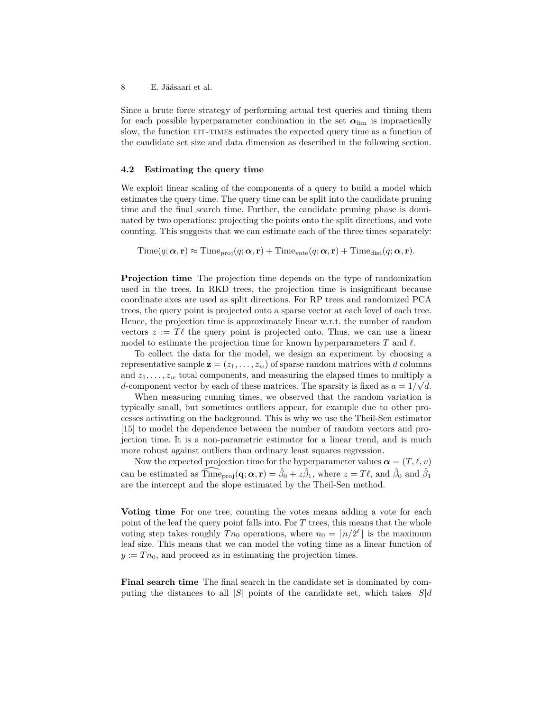Since a brute force strategy of performing actual test queries and timing them for each possible hyperparameter combination in the set  $\alpha_{\text{lim}}$  is impractically slow, the function FIT-TIMES estimates the expected query time as a function of the candidate set size and data dimension as described in the following section.

#### **4.2 Estimating the query time**

We exploit linear scaling of the components of a query to build a model which estimates the query time. The query time can be split into the candidate pruning time and the final search time. Further, the candidate pruning phase is dominated by two operations: projecting the points onto the split directions, and vote counting. This suggests that we can estimate each of the three times separately:

 $\text{Time}(q; \boldsymbol{\alpha}, \mathbf{r}) \approx \text{Time}_{\text{proj}}(q; \boldsymbol{\alpha}, \mathbf{r}) + \text{Time}_{\text{vote}}(q; \boldsymbol{\alpha}, \mathbf{r}) + \text{Time}_{\text{dist}}(q; \boldsymbol{\alpha}, \mathbf{r}).$ 

**Projection time** The projection time depends on the type of randomization used in the trees. In RKD trees, the projection time is insignificant because coordinate axes are used as split directions. For RP trees and randomized PCA trees, the query point is projected onto a sparse vector at each level of each tree. Hence, the projection time is approximately linear w.r.t. the number of random vectors  $z := T\ell$  the query point is projected onto. Thus, we can use a linear model to estimate the projection time for known hyperparameters  $T$  and  $\ell$ .

To collect the data for the model, we design an experiment by choosing a representative sample  $\mathbf{z} = (z_1, \ldots, z_w)$  of sparse random matrices with *d* columns and  $z_1, \ldots, z_w$  total components, and measuring the elapsed times to multiply a *d*-component vector by each of these matrices. The sparsity is fixed as  $a = 1/\sqrt{d}$ .

When measuring running times, we observed that the random variation is typically small, but sometimes outliers appear, for example due to other processes activating on the background. This is why we use the Theil-Sen estimator [15] to model the dependence between the number of random vectors and projection time. It is a non-parametric estimator for a linear trend, and is much more robust against outliers than ordinary least squares regression.

Now the expected projection time for the hyperparameter values  $\boldsymbol{\alpha} = (T, \ell, v)$ can be estimated as  $\widehat{\text{Time}}_{\text{proj}}(\mathbf{q}; \boldsymbol{\alpha}, \mathbf{r}) = \hat{\beta}_0 + z\hat{\beta}_1$ , where  $z = T\ell$ , and  $\hat{\beta}_0$  and  $\hat{\beta}_1$ are the intercept and the slope estimated by the Theil-Sen method.

**Voting time** For one tree, counting the votes means adding a vote for each point of the leaf the query point falls into. For *T* trees, this means that the whole voting step takes roughly  $T_{n_0}$  operations, where  $n_0 = \lceil n/2^{\ell} \rceil$  is the maximum leaf size. This means that we can model the voting time as a linear function of  $y := T n_0$ , and proceed as in estimating the projection times.

**Final search time** The final search in the candidate set is dominated by computing the distances to all  $|S|$  points of the candidate set, which takes  $|S|d$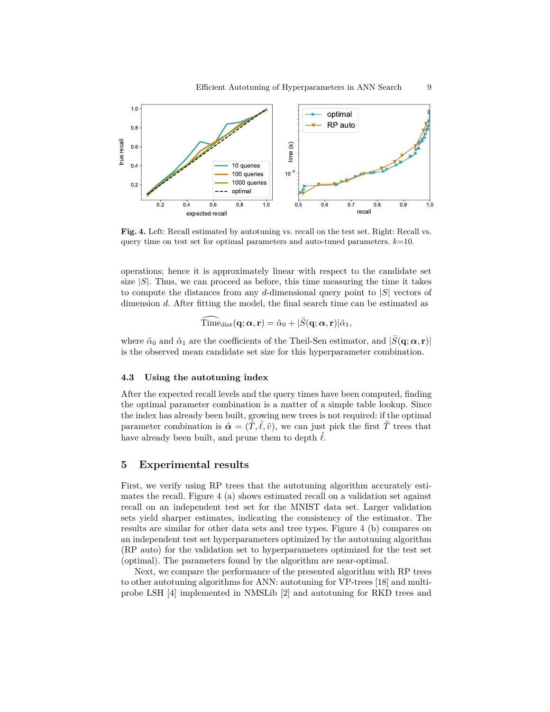

**Fig. 4.** Left: Recall estimated by autotuning vs. recall on the test set. Right: Recall vs. query time on test set for optimal parameters and auto-tuned parameters. *k*=10.

operations; hence it is approximately linear with respect to the candidate set size  $|S|$ . Thus, we can proceed as before, this time measuring the time it takes to compute the distances from any *d*-dimensional query point to |*S*| vectors of dimension *d*. After fitting the model, the final search time can be estimated as

$$
\widehat{\rm Time}_{\rm dist}({\bf q};{\boldsymbol\alpha},{\bf r})=\hat{\alpha}_0+|\bar{S}({\bf q};{\boldsymbol\alpha},{\bf r})|\hat{\alpha}_1,
$$

where  $\hat{\alpha}_0$  and  $\hat{\alpha}_1$  are the coefficients of the Theil-Sen estimator, and  $|\bar{S}(\mathbf{q}; \alpha, \mathbf{r})|$ is the observed mean candidate set size for this hyperparameter combination.

#### **4.3 Using the autotuning index**

After the expected recall levels and the query times have been computed, finding the optimal parameter combination is a matter of a simple table lookup. Since the index has already been built, growing new trees is not required: if the optimal parameter combination is  $\hat{\boldsymbol{\alpha}} = (\hat{T}, \hat{\ell}, \hat{v})$ , we can just pick the first  $\hat{T}$  trees that have already been built, and prune them to depth  $\ell$ .

## **5 Experimental results**

First, we verify using RP trees that the autotuning algorithm accurately estimates the recall. Figure 4 (a) shows estimated recall on a validation set against recall on an independent test set for the MNIST data set. Larger validation sets yield sharper estimates, indicating the consistency of the estimator. The results are similar for other data sets and tree types. Figure 4 (b) compares on an independent test set hyperparameters optimized by the autotuning algorithm (RP auto) for the validation set to hyperparameters optimized for the test set (optimal). The parameters found by the algorithm are near-optimal.

Next, we compare the performance of the presented algorithm with RP trees to other autotuning algorithms for ANN: autotuning for VP-trees [18] and multiprobe LSH [4] implemented in NMSLib [2] and autotuning for RKD trees and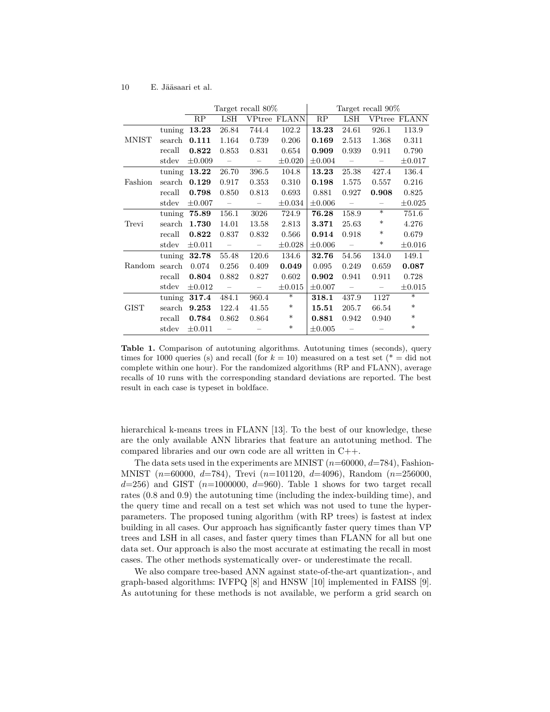|               |        | Target recall 80\% |               |                                                                                                       | Target recall 90% |             |                          |                                                                    |              |
|---------------|--------|--------------------|---------------|-------------------------------------------------------------------------------------------------------|-------------------|-------------|--------------------------|--------------------------------------------------------------------|--------------|
|               |        | RP                 | LSH           |                                                                                                       | VPtree FLANN      | RP          | LSH                      |                                                                    | VPtree FLANN |
|               |        | tuning $13.23$     | 26.84         | 744.4                                                                                                 | 102.2             | 13.23       | 24.61                    | 926.1                                                              | 113.9        |
| MNIST         | search | 0.111              | 1.164         | 0.739                                                                                                 | 0.206             | 0.169       | 2.513                    | 1.368                                                              | 0.311        |
|               | recall | 0.822              | 0.853         | 0.831                                                                                                 | 0.654             | 0.909       | 0.939                    | 0.911                                                              | 0.790        |
|               | stdev  | $\pm 0.009$        | $\frac{1}{2}$ | $\frac{1}{2}$                                                                                         | $\pm 0.020$       | $\pm 0.004$ | $\overline{\phantom{m}}$ | $\overline{\phantom{m}}$                                           | $\pm 0.017$  |
|               |        | tuning $13.22$     | 26.70         | 396.5                                                                                                 | 104.8             | 13.23       | 25.38                    | 427.4                                                              | 136.4        |
| Fashion       | search | 0.129              | 0.917         | 0.353                                                                                                 | 0.310             | 0.198       | 1.575                    | 0.557                                                              | 0.216        |
|               | recall | 0.798              | 0.850         | 0.813                                                                                                 | 0.693             | 0.881       | 0.927                    | 0.908                                                              | 0.825        |
|               | stdev  | $\pm 0.007$        | $\equiv$ $-$  | $\frac{1}{2}$                                                                                         | $\pm 0.034$       | $\pm 0.006$ | $\equiv$ $-$             | $\overline{\phantom{m}}$                                           | $\pm 0.025$  |
|               |        | tuning $75.89$     | 156.1         | 3026                                                                                                  | 724.9             | 76.28       | 158.9                    | $\ast$                                                             | 751.6        |
| Trevi         | search | 1.730              | 14.01         | 13.58                                                                                                 | 2.813             | 3.371       | 25.63                    | $\ast$                                                             | 4.276        |
|               | recall | 0.822              | 0.837         | 0.832                                                                                                 | 0.566             | 0.914       | 0.918                    | $\ast$                                                             | 0.679        |
|               | stdev  | $\pm 0.011$        | $\sim$ $-$    | $\sim 100$ km s $^{-1}$                                                                               | $\pm 0.028$       | $\pm 0.006$ | $\overline{\phantom{m}}$ | $\ast$                                                             | $\pm 0.016$  |
|               |        | tuning $32.78$     | 55.48         | 120.6                                                                                                 | 134.6             | 32.76       | 54.56                    | 134.0                                                              | 149.1        |
| Random search |        | 0.074              | 0.256         | 0.409                                                                                                 | 0.049             | 0.095       | 0.249                    | 0.659                                                              | 0.087        |
|               | recall | 0.804              | 0.882         | 0.827                                                                                                 | 0.602             | 0.902       | 0.941                    | 0.911                                                              | 0.728        |
|               | stdev  | $\pm 0.012$        |               | $\mathcal{L}=\mathcal{L}^{\mathcal{L}}$ , where $\mathcal{L}^{\mathcal{L}}=\mathcal{L}^{\mathcal{L}}$ | $\pm 0.015$       | $\pm 0.007$ |                          | $\mathcal{L} = \{ \mathcal{L} \mid \mathcal{L} \in \mathcal{L} \}$ | $\pm 0.015$  |
|               |        | tuning $317.4$     | 484.1         | 960.4                                                                                                 | $\ast$            | 318.1       | 437.9                    | 1127                                                               | $\ast$       |
| <b>GIST</b>   | search | 9.253              | 122.4         | 41.55                                                                                                 | $\ast$            | 15.51       | 205.7                    | 66.54                                                              | $\ast$       |
|               | recall | 0.784              | 0.862         | 0.864                                                                                                 | $\ast$            | 0.881       | 0.942                    | 0.940                                                              | $\ast$       |
|               | stdev  | $\pm 0.011$        |               |                                                                                                       | $\ast$            | $\pm 0.005$ | $\overline{\phantom{m}}$ |                                                                    | $\ast$       |

**Table 1.** Comparison of autotuning algorithms. Autotuning times (seconds), query times for 1000 queries (s) and recall (for  $k = 10$ ) measured on a test set ( $* =$  did not complete within one hour). For the randomized algorithms (RP and FLANN), average recalls of 10 runs with the corresponding standard deviations are reported. The best result in each case is typeset in boldface.

hierarchical k-means trees in FLANN [13]. To the best of our knowledge, these are the only available ANN libraries that feature an autotuning method. The compared libraries and our own code are all written in C++.

The data sets used in the experiments are MNIST  $(n=60000, d=784)$ , Fashion-MNIST (*n*=60000, *d*=784), Trevi (*n*=101120, *d*=4096), Random (*n*=256000,  $d=256$ ) and GIST ( $n=1000000$ ,  $d=960$ ). Table 1 shows for two target recall rates (0.8 and 0.9) the autotuning time (including the index-building time), and the query time and recall on a test set which was not used to tune the hyperparameters. The proposed tuning algorithm (with RP trees) is fastest at index building in all cases. Our approach has significantly faster query times than VP trees and LSH in all cases, and faster query times than FLANN for all but one data set. Our approach is also the most accurate at estimating the recall in most cases. The other methods systematically over- or underestimate the recall.

We also compare tree-based ANN against state-of-the-art quantization-, and graph-based algorithms: IVFPQ [8] and HNSW [10] implemented in FAISS [9]. As autotuning for these methods is not available, we perform a grid search on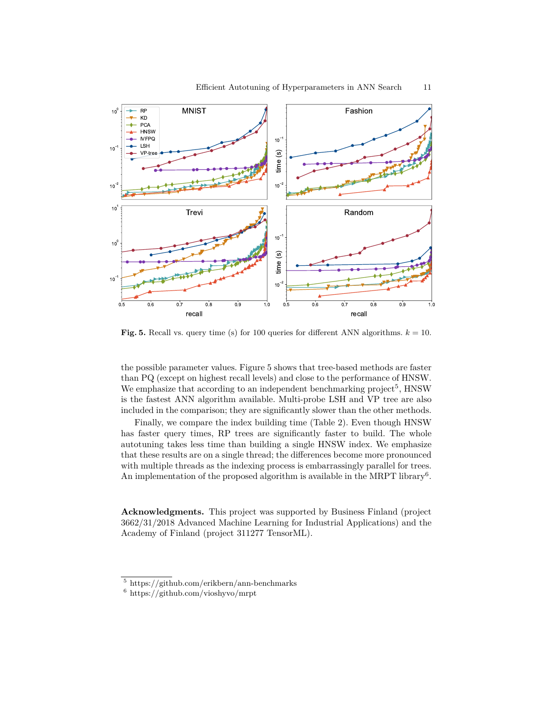

**Fig. 5.** Recall vs. query time (s) for 100 queries for different ANN algorithms.  $k = 10$ .

the possible parameter values. Figure 5 shows that tree-based methods are faster than PQ (except on highest recall levels) and close to the performance of HNSW. We emphasize that according to an independent benchmarking project<sup>5</sup>,  $HNSW$ is the fastest ANN algorithm available. Multi-probe LSH and VP tree are also included in the comparison; they are significantly slower than the other methods.

Finally, we compare the index building time (Table 2). Even though HNSW has faster query times, RP trees are significantly faster to build. The whole autotuning takes less time than building a single HNSW index. We emphasize that these results are on a single thread; the differences become more pronounced with multiple threads as the indexing process is embarrassingly parallel for trees. An implementation of the proposed algorithm is available in the MRPT library<sup>6</sup>.

**Acknowledgments.** This project was supported by Business Finland (project 3662/31/2018 Advanced Machine Learning for Industrial Applications) and the Academy of Finland (project 311277 TensorML).

 $5 \text{ https://github.com/erikbern/ann-benchmarks}$ 

 $6$  https://github.com/vioshyvo/mrpt